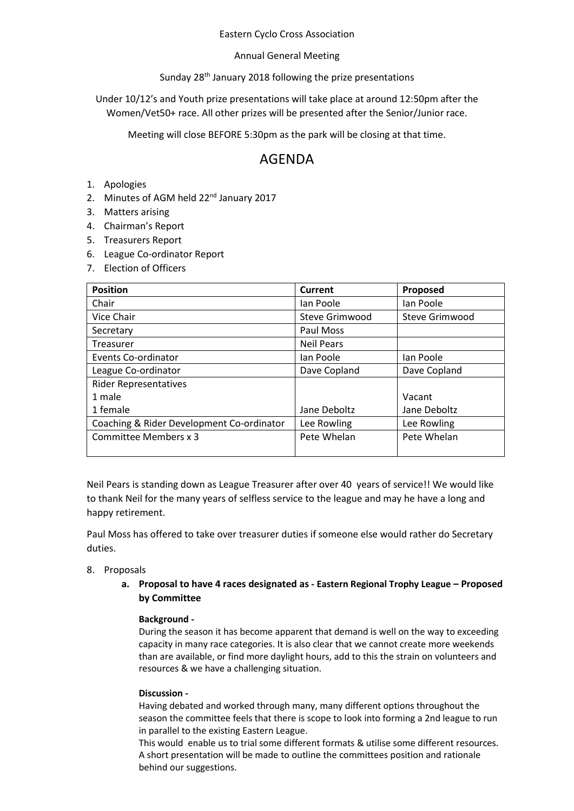### Eastern Cyclo Cross Association

## Annual General Meeting

# Sunday 28<sup>th</sup> January 2018 following the prize presentations

Under 10/12's and Youth prize presentations will take place at around 12:50pm after the Women/Vet50+ race. All other prizes will be presented after the Senior/Junior race.

Meeting will close BEFORE 5:30pm as the park will be closing at that time.

# AGENDA

- 1. Apologies
- 2. Minutes of AGM held 22<sup>nd</sup> January 2017
- 3. Matters arising
- 4. Chairman's Report
- 5. Treasurers Report
- 6. League Co-ordinator Report
- 7. Election of Officers

| <b>Position</b>                           | Current           | Proposed       |
|-------------------------------------------|-------------------|----------------|
| Chair                                     | lan Poole         | lan Poole      |
| Vice Chair                                | Steve Grimwood    | Steve Grimwood |
| Secretary                                 | Paul Moss         |                |
| Treasurer                                 | <b>Neil Pears</b> |                |
| Events Co-ordinator                       | lan Poole         | lan Poole      |
| League Co-ordinator                       | Dave Copland      | Dave Copland   |
| <b>Rider Representatives</b>              |                   |                |
| 1 male                                    |                   | Vacant         |
| 1 female                                  | Jane Deboltz      | Jane Deboltz   |
| Coaching & Rider Development Co-ordinator | Lee Rowling       | Lee Rowling    |
| Committee Members x 3                     | Pete Whelan       | Pete Whelan    |
|                                           |                   |                |

Neil Pears is standing down as League Treasurer after over 40 years of service!! We would like to thank Neil for the many years of selfless service to the league and may he have a long and happy retirement.

Paul Moss has offered to take over treasurer duties if someone else would rather do Secretary duties.

# 8. Proposals

**a. Proposal to have 4 races designated as - Eastern Regional Trophy League – Proposed by Committee**

# **Background -**

During the season it has become apparent that demand is well on the way to exceeding capacity in many race categories. It is also clear that we cannot create more weekends than are available, or find more daylight hours, add to this the strain on volunteers and resources & we have a challenging situation.

#### **Discussion -**

Having debated and worked through many, many different options throughout the season the committee feels that there is scope to look into forming a 2nd league to run in parallel to the existing Eastern League.

This would enable us to trial some different formats & utilise some different resources. A short presentation will be made to outline the committees position and rationale behind our suggestions.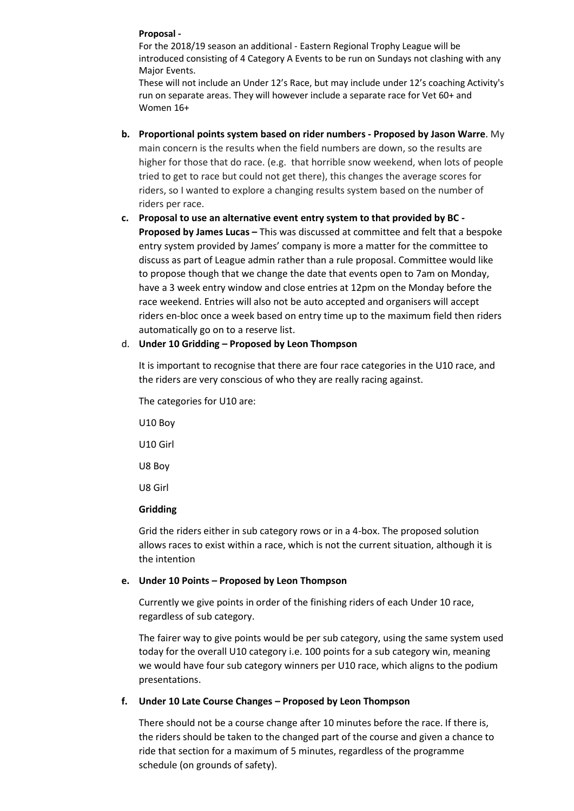### **Proposal -**

For the 2018/19 season an additional - Eastern Regional Trophy League will be introduced consisting of 4 Category A Events to be run on Sundays not clashing with any Major Events.

These will not include an Under 12's Race, but may include under 12's coaching Activity's run on separate areas. They will however include a separate race for Vet 60+ and Women 16+

- **b. Proportional points system based on rider numbers - Proposed by Jason Warre**. My main concern is the results when the field numbers are down, so the results are higher for those that do race. (e.g. that horrible snow weekend, when lots of people tried to get to race but could not get there), this changes the average scores for riders, so I wanted to explore a changing results system based on the number of riders per race.
- **c. Proposal to use an alternative event entry system to that provided by BC - Proposed by James Lucas –** This was discussed at committee and felt that a bespoke entry system provided by James' company is more a matter for the committee to discuss as part of League admin rather than a rule proposal. Committee would like to propose though that we change the date that events open to 7am on Monday, have a 3 week entry window and close entries at 12pm on the Monday before the race weekend. Entries will also not be auto accepted and organisers will accept riders en-bloc once a week based on entry time up to the maximum field then riders automatically go on to a reserve list.

## d. **Under 10 Gridding – Proposed by Leon Thompson**

It is important to recognise that there are four race categories in the U10 race, and the riders are very conscious of who they are really racing against.

The categories for U10 are:

U10 Boy U10 Girl U8 Boy U8 Girl **Gridding** 

Grid the riders either in sub category rows or in a 4-box. The proposed solution allows races to exist within a race, which is not the current situation, although it is the intention

#### **e. Under 10 Points – Proposed by Leon Thompson**

Currently we give points in order of the finishing riders of each Under 10 race, regardless of sub category.

The fairer way to give points would be per sub category, using the same system used today for the overall U10 category i.e. 100 points for a sub category win, meaning we would have four sub category winners per U10 race, which aligns to the podium presentations.

# **f. Under 10 Late Course Changes – Proposed by Leon Thompson**

There should not be a course change after 10 minutes before the race. If there is, the riders should be taken to the changed part of the course and given a chance to ride that section for a maximum of 5 minutes, regardless of the programme schedule (on grounds of safety).